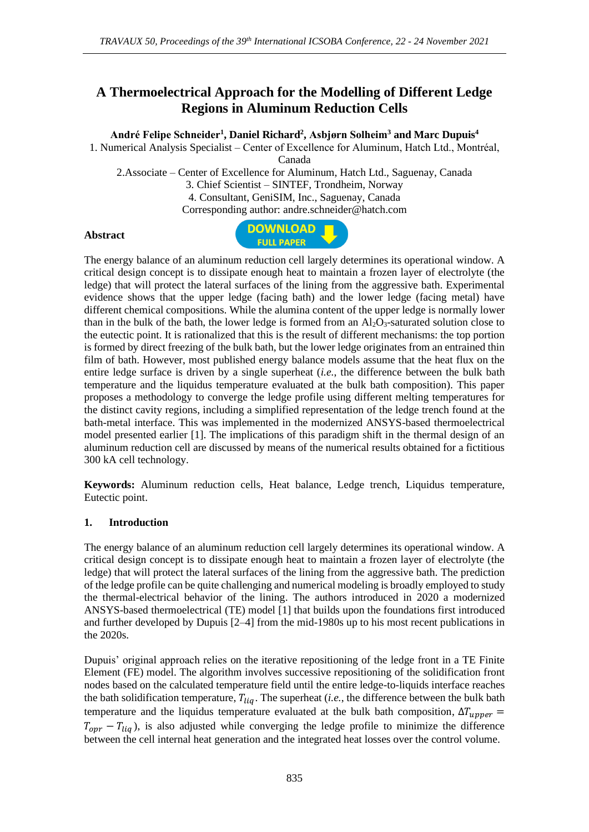# **A Thermoelectrical Approach for the Modelling of Different Ledge Regions in Aluminum Reduction Cells**

**André Felipe Schneider<sup>1</sup> , Daniel Richard<sup>2</sup> , Asbjørn Solheim<sup>3</sup> and Marc Dupuis<sup>4</sup>**

1. Numerical Analysis Specialist – Center of Excellence for Aluminum, Hatch Ltd., Montréal, Canada

2.Associate – Center of Excellence for Aluminum, Hatch Ltd., Saguenay, Canada 3. Chief Scientist – SINTEF, Trondheim, Norway 4. Consultant, GeniSIM, Inc., Saguenay, Canada Corresponding author: andre.schneider@hatch.com

#### **Abstract**



The energy balance of an aluminum reduction cell largely determines its operational window. A critical design concept is to dissipate enough heat to maintain a frozen layer of electrolyte (the ledge) that will protect the lateral surfaces of the lining from the aggressive bath. Experimental evidence shows that the upper ledge (facing bath) and the lower ledge (facing metal) have different chemical compositions. While the alumina content of the upper ledge is normally lower than in the bulk of the bath, the lower ledge is formed from an  $Al_2O_3$ -saturated solution close to the eutectic point. It is rationalized that this is the result of different mechanisms: the top portion is formed by direct freezing of the bulk bath, but the lower ledge originates from an entrained thin film of bath. However, most published energy balance models assume that the heat flux on the entire ledge surface is driven by a single superheat (*i.e.*, the difference between the bulk bath temperature and the liquidus temperature evaluated at the bulk bath composition). This paper proposes a methodology to converge the ledge profile using different melting temperatures for the distinct cavity regions, including a simplified representation of the ledge trench found at the bath-metal interface. This was implemented in the modernized ANSYS-based thermoelectrical model presented earlier [1]. The implications of this paradigm shift in the thermal design of an aluminum reduction cell are discussed by means of the numerical results obtained for a fictitious 300 kA cell technology.

**Keywords:** Aluminum reduction cells, Heat balance, Ledge trench, Liquidus temperature, Eutectic point.

### **1. Introduction**

The energy balance of an aluminum reduction cell largely determines its operational window. A critical design concept is to dissipate enough heat to maintain a frozen layer of electrolyte (the ledge) that will protect the lateral surfaces of the lining from the aggressive bath. The prediction of the ledge profile can be quite challenging and numerical modeling is broadly employed to study the thermal-electrical behavior of the lining. The authors introduced in 2020 a modernized ANSYS-based thermoelectrical (TE) model [1] that builds upon the foundations first introduced and further developed by Dupuis [2–4] from the mid-1980s up to his most recent publications in the 2020s.

Dupuis' original approach relies on the iterative repositioning of the ledge front in a TE Finite Element (FE) model. The algorithm involves successive repositioning of the solidification front nodes based on the calculated temperature field until the entire ledge-to-liquids interface reaches the bath solidification temperature,  $T_{liq}$ . The superheat (*i.e.*, the difference between the bulk bath temperature and the liquidus temperature evaluated at the bulk bath composition,  $\Delta T_{upper}$  =  $T_{opr} - T_{liq}$ ), is also adjusted while converging the ledge profile to minimize the difference between the cell internal heat generation and the integrated heat losses over the control volume.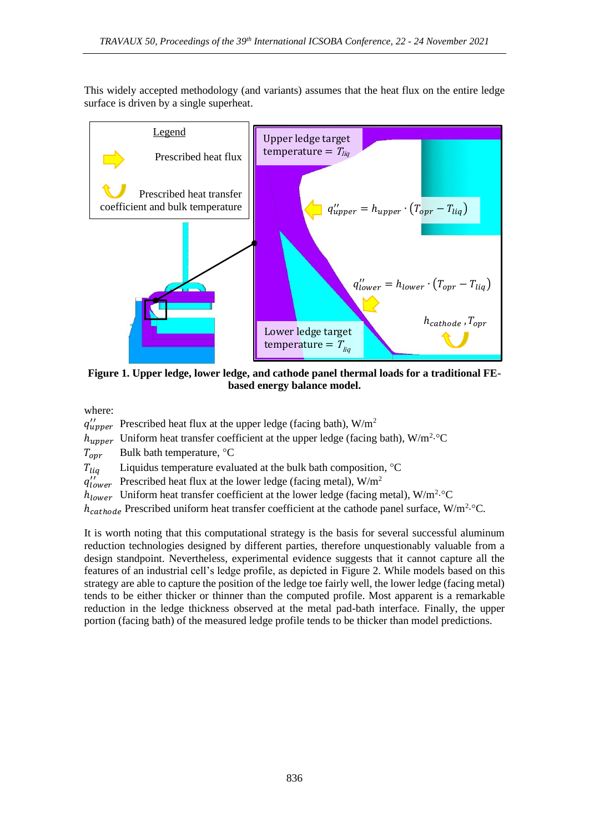This widely accepted methodology (and variants) assumes that the heat flux on the entire ledge surface is driven by a single superheat.



**Figure 1. Upper ledge, lower ledge, and cathode panel thermal loads for a traditional FEbased energy balance model.**

where:

 $q''_{upper}$  Prescribed heat flux at the upper ledge (facing bath), W/m<sup>2</sup>  $h_{upper}$  Uniform heat transfer coefficient at the upper ledge (facing bath), W/m<sup>2</sup>. °C  $T_{\text{onr}}$  Bulk bath temperature,  $^{\circ}C$  $T_{liq}$  Liquidus temperature evaluated at the bulk bath composition,  $^{\circ}C$  $q''_{lower}$  Prescribed heat flux at the lower ledge (facing metal), W/m<sup>2</sup>  $h_{lower}$  Uniform heat transfer coefficient at the lower ledge (facing metal), W/m<sup>2</sup>. °C  $h_{cathode}$  Prescribed uniform heat transfer coefficient at the cathode panel surface, W/m<sup>2</sup>.°C.

It is worth noting that this computational strategy is the basis for several successful aluminum reduction technologies designed by different parties, therefore unquestionably valuable from a design standpoint. Nevertheless, experimental evidence suggests that it cannot capture all the features of an industrial cell's ledge profile, as depicted in Figure 2. While models based on this strategy are able to capture the position of the ledge toe fairly well, the lower ledge (facing metal) tends to be either thicker or thinner than the computed profile. Most apparent is a remarkable reduction in the ledge thickness observed at the metal pad-bath interface. Finally, the upper portion (facing bath) of the measured ledge profile tends to be thicker than model predictions.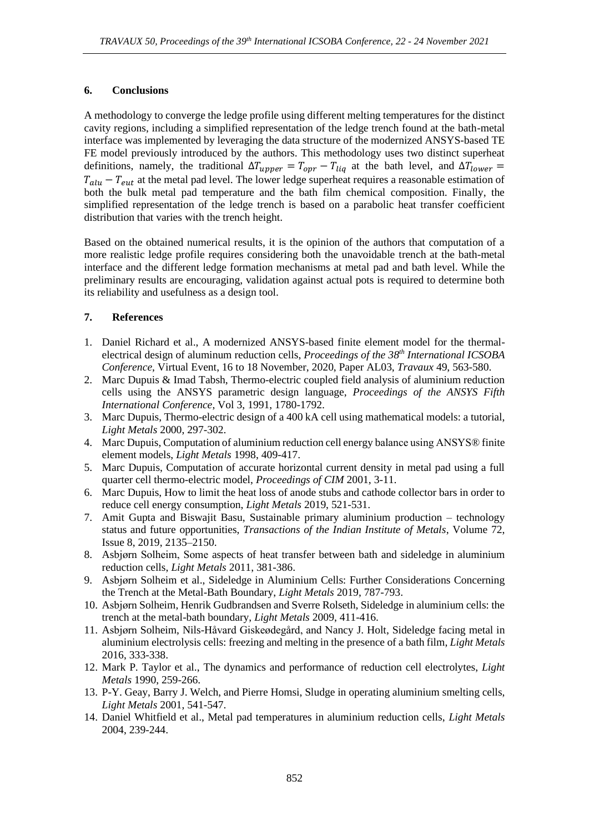## **6. Conclusions**

A methodology to converge the ledge profile using different melting temperatures for the distinct cavity regions, including a simplified representation of the ledge trench found at the bath-metal interface was implemented by leveraging the data structure of the modernized ANSYS-based TE FE model previously introduced by the authors. This methodology uses two distinct superheat definitions, namely, the traditional  $\Delta T_{upper} = T_{opr} - T_{liq}$  at the bath level, and  $\Delta T_{lower} =$  $T_{alu} - T_{eut}$  at the metal pad level. The lower ledge superheat requires a reasonable estimation of both the bulk metal pad temperature and the bath film chemical composition. Finally, the simplified representation of the ledge trench is based on a parabolic heat transfer coefficient distribution that varies with the trench height.

Based on the obtained numerical results, it is the opinion of the authors that computation of a more realistic ledge profile requires considering both the unavoidable trench at the bath-metal interface and the different ledge formation mechanisms at metal pad and bath level. While the preliminary results are encouraging, validation against actual pots is required to determine both its reliability and usefulness as a design tool.

## **7. References**

- 1. Daniel Richard et al., A modernized ANSYS-based finite element model for the thermalelectrical design of aluminum reduction cells, *Proceedings of the 38 th International ICSOBA Conference*, Virtual Event, 16 to 18 November, 2020, Paper AL03, *Travaux* 49, 563-580.
- 2. Marc Dupuis & Imad Tabsh, Thermo-electric coupled field analysis of aluminium reduction cells using the ANSYS parametric design language, *Proceedings of the ANSYS Fifth International Conference*, Vol 3, 1991, 1780-1792.
- 3. Marc Dupuis, Thermo-electric design of a 400 kA cell using mathematical models: a tutorial, *Light Metals* 2000, 297-302.
- 4. Marc Dupuis, Computation of aluminium reduction cell energy balance using ANSYS® finite element models, *Light Metals* 1998, 409-417.
- 5. Marc Dupuis, Computation of accurate horizontal current density in metal pad using a full quarter cell thermo-electric model, *Proceedings of CIM* 2001, 3-11.
- 6. Marc Dupuis, How to limit the heat loss of anode stubs and cathode collector bars in order to reduce cell energy consumption, *Light Metals* 2019, 521-531.
- 7. Amit Gupta and Biswajit Basu, Sustainable primary aluminium production technology status and future opportunities, *Transactions of the Indian Institute of Metals*, Volume 72, Issue 8, 2019, 2135–2150.
- 8. Asbjørn Solheim, Some aspects of heat transfer between bath and sideledge in aluminium reduction cells, *Light Metals* 2011, 381-386.
- 9. Asbjørn Solheim et al., Sideledge in Aluminium Cells: Further Considerations Concerning the Trench at the Metal-Bath Boundary, *Light Metals* 2019, 787-793.
- 10. Asbjørn Solheim, Henrik Gudbrandsen and Sverre Rolseth, Sideledge in aluminium cells: the trench at the metal-bath boundary, *Light Metals* 2009, 411-416.
- 11. Asbjørn Solheim, Nils-Håvard Giskeødegård, and Nancy J. Holt, Sideledge facing metal in aluminium electrolysis cells: freezing and melting in the presence of a bath film, *Light Metals*  2016, 333-338.
- 12. Mark P. Taylor et al., The dynamics and performance of reduction cell electrolytes, *Light Metals* 1990, 259-266.
- 13. P-Y. Geay, Barry J. Welch, and Pierre Homsi, Sludge in operating aluminium smelting cells, *Light Metals* 2001, 541-547.
- 14. Daniel Whitfield et al., Metal pad temperatures in aluminium reduction cells, *Light Metals* 2004, 239-244.